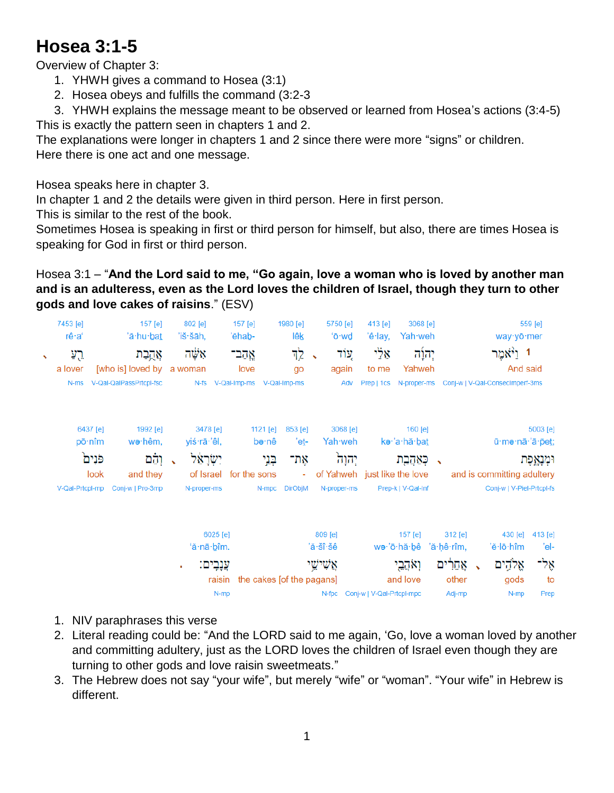## **Hosea 3:1-5**

Overview of Chapter 3:

- 1. YHWH gives a command to Hosea (3:1)
- 2. Hosea obeys and fulfills the command (3:2-3

3. YHWH explains the message meant to be observed or learned from Hosea's actions (3:4-5) This is exactly the pattern seen in chapters 1 and 2.

The explanations were longer in chapters 1 and 2 since there were more "signs" or children. Here there is one act and one message.

Hosea speaks here in chapter 3.

In chapter 1 and 2 the details were given in third person. Here in first person.

This is similar to the rest of the book.

Sometimes Hosea is speaking in first or third person for himself, but also, there are times Hosea is speaking for God in first or third person.

Hosea 3:1 – "**And the Lord said to me, "Go again, love a woman who is loved by another man and is an adulteress, even as the Lord loves the children of Israel, though they turn to other gods and love cakes of raisins**." (ESV)

|            | 7453 [e]<br>rê∙a' |                            | 157 [e]<br>'ă·hu· <u>bat</u> | 802 [e]<br>'iš∙šāh, |                | 157 [e]<br>'ĕhab-              |          | 1980 [e]<br>lêk           |                            | 5750 [e]<br>'ō·wd | 413 [e]<br>'ê·lay,           | 3068 [e]<br>Yah weh |                 |  | way yō mer                      | 559 [e]    |
|------------|-------------------|----------------------------|------------------------------|---------------------|----------------|--------------------------------|----------|---------------------------|----------------------------|-------------------|------------------------------|---------------------|-----------------|--|---------------------------------|------------|
| $\sqrt{2}$ | רֶע               |                            | אֲהֱבַת                      | אַשָּׁה             |                | אֱהב־                          |          | 고                         | $\boldsymbol{\mathcal{N}}$ | עוד               | אַלַי                        | יָהוַ֫ה             |                 |  | 1 ו <sup>ַ</sup> יֿאמר          |            |
|            | a lover           |                            | [who is] loved by            | a woman             |                | love                           |          | go                        |                            | again             | to me                        | Yahweh              |                 |  | And said                        |            |
|            | N-ms              |                            | V-Qal-QalPassPrtcpl-fsc      |                     |                | N-fs V-Qal-Imp-ms V-Qal-Imp-ms |          |                           |                            | Adv               | Prep   1cs                   | N-proper-ms         |                 |  | Conj-w   V-Qal-Consecimperf-3ms |            |
|            |                   | 6437 [e]                   | 1992 [e]                     |                     | 3478 [e]       |                                | 1121 [e] | 853 [e]                   |                            | 3068 [e]          |                              | 160 $[e]$           |                 |  |                                 | 5003 [e]   |
|            |                   | $p\bar{o} \cdot n\hat{i}m$ | wə·hêm,                      | yiś∙rā∙'êl,         |                | bə∙nê                          |          |                           | Yah·weh<br>'eṯ-            |                   | kə·'a·hă·ba <u>t</u>         |                     |                 |  | ū·mə·nā·'ā·pet;                 |            |
|            |                   | פֿנִים<br>וְהֵם            |                              | יִשְׂרָאֵל          |                | בְּנֵי<br>אָת־                 |          |                           | יְהוָה<br>כְּאַהָבָת       |                   | $\rightarrow$                | וּמְנָאֱפֶּת        |                 |  |                                 |            |
|            |                   | look                       | and they                     |                     |                | of Israel for the sons         |          | $\omega$                  |                            |                   | of Yahweh just like the love |                     |                 |  | and is committing adultery      |            |
|            | V-Qal-Prtcpl-mp   |                            | Conj-w   Pro-3mp             | N-proper-ms         |                |                                | N-mpc    | <b>DirObjM</b>            |                            | N-proper-ms       |                              | Prep-k   V-Qal-Inf  |                 |  | Conj-w   V-Piel-Prtcpl-fs       |            |
|            |                   |                            |                              |                     | $6025$ [e]     |                                |          |                           | 809 [e]                    |                   |                              | 157 [e]             | 312 [e]         |  | $430$ [e]                       | 413 [e]    |
|            |                   |                            |                              |                     | 'ă·nā·bîm.     |                                |          |                           | 'ă∙šî∙šê                   |                   |                              | wə∙'ō∙hă∙bê         | 'ă·ḥê·rîm,      |  | 'ĕ∙lō∙hîm                       | 'el-       |
|            |                   |                            |                              | ٠                   | עֲנָבִים:      |                                |          |                           | אַשִׁישֵׁי                 |                   |                              | וְאֹהֲבֵי           | אֲחֵרִים        |  | אֱלֹהֶים                        | אָל-       |
|            |                   |                            |                              |                     | raisin<br>N-mp |                                |          | the cakes [of the pagans] | N-fpc                      |                   | Conj-w   V-Qal-Prtcpl-mpc    | and love            | other<br>Adj-mp |  | gods<br>N-mp                    | to<br>Prep |

- 1. NIV paraphrases this verse
- 2. Literal reading could be: "And the LORD said to me again, 'Go, love a woman loved by another and committing adultery, just as the LORD loves the children of Israel even though they are turning to other gods and love raisin sweetmeats."
- 3. The Hebrew does not say "your wife", but merely "wife" or "woman". "Your wife" in Hebrew is different.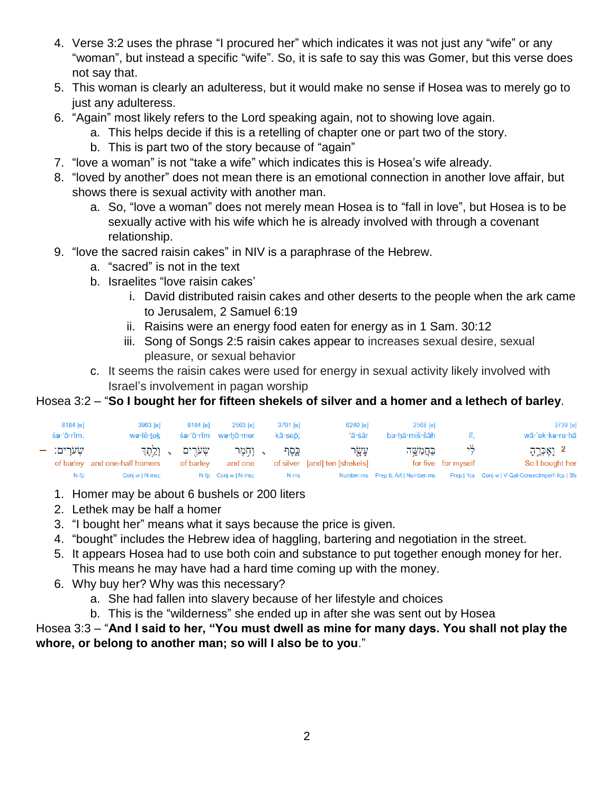- 4. Verse 3:2 uses the phrase "I procured her" which indicates it was not just any "wife" or any "woman", but instead a specific "wife". So, it is safe to say this was Gomer, but this verse does not say that.
- 5. This woman is clearly an adulteress, but it would make no sense if Hosea was to merely go to just any adulteress.
- 6. "Again" most likely refers to the Lord speaking again, not to showing love again.
	- a. This helps decide if this is a retelling of chapter one or part two of the story.
	- b. This is part two of the story because of "again"
- 7. "love a woman" is not "take a wife" which indicates this is Hosea's wife already.
- 8. "loved by another" does not mean there is an emotional connection in another love affair, but shows there is sexual activity with another man.
	- a. So, "love a woman" does not merely mean Hosea is to "fall in love", but Hosea is to be sexually active with his wife which he is already involved with through a covenant relationship.
- 9. "love the sacred raisin cakes" in NIV is a paraphrase of the Hebrew.
	- a. "sacred" is not in the text
	- b. Israelites "love raisin cakes'
		- i. David distributed raisin cakes and other deserts to the people when the ark came to Jerusalem, 2 Samuel 6:19
		- ii. Raisins were an energy food eaten for energy as in 1 Sam. 30:12
		- iii. Song of Songs 2:5 raisin cakes appear to increases sexual desire, sexual pleasure, or sexual behavior
	- c. It seems the raisin cakes were used for energy in sexual activity likely involved with Israel's involvement in pagan worship

## Hosea 3:2 – "**So I bought her for fifteen shekels of silver and a homer and a lethech of barley**.

| 8184 [e]   | 3963 [e]                      | 8184 [e]     | 2563 [e]            | 3701 [e] | 6240 [e]                      | 2568 [e]      |                     | 3739 [e]                                                                           |
|------------|-------------------------------|--------------|---------------------|----------|-------------------------------|---------------|---------------------|------------------------------------------------------------------------------------|
| śə∙'ō∙rîm. | wə·lê·tek                     |              | śe·'ō·rîm we·hō·mer | kā·sep:  | 'ā·śār                        | ba·hă·miš·šāh | lî.                 | wā·'ek·ka·re·hā                                                                    |
| שערים: –   |                               | שערים , ולתד | ג והמר              | כֵסֶף    | עַשָׂר                        | בַּחֲמְשֶׁה   | - 75                | 2 וַאֶכְרֶהָ                                                                       |
|            | of barley and one-half homers | of barlev    | and one             |          | of silver [and] ten [shekels] |               | for five for myself | So I bought her                                                                    |
| N-fp       | Conj-w   N-msc                |              | N-fp Conj-w   N-msc | N-ms     |                               |               |                     | Number-ms Prep-b, Art   Number-ms Prep   1cs Conj-w   V-Qal-ConsecImperf-1cs   3fs |

- 1. Homer may be about 6 bushels or 200 liters
- 2. Lethek may be half a homer
- 3. "I bought her" means what it says because the price is given.
- 4. "bought" includes the Hebrew idea of haggling, bartering and negotiation in the street.
- 5. It appears Hosea had to use both coin and substance to put together enough money for her. This means he may have had a hard time coming up with the money.
- 6. Why buy her? Why was this necessary?
	- a. She had fallen into slavery because of her lifestyle and choices
	- b. This is the "wilderness" she ended up in after she was sent out by Hosea

## Hosea 3:3 – "**And I said to her, "You must dwell as mine for many days. You shall not play the whore, or belong to another man; so will I also be to you**."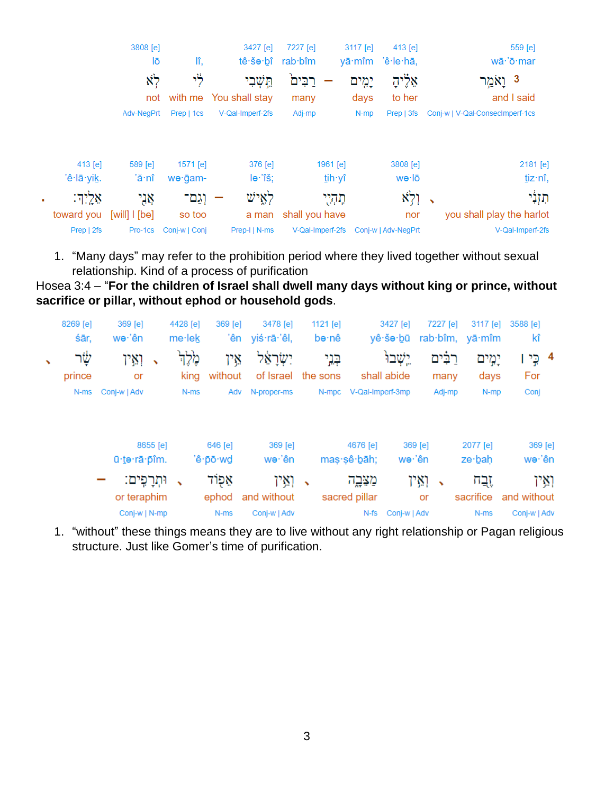|   |            | 3808 [e]      |                       | 3427 [e]               | 7227 [e]            | 3117 [e]<br>$413$ [e] | 559 [e]                              |
|---|------------|---------------|-----------------------|------------------------|---------------------|-----------------------|--------------------------------------|
|   |            | lō            | lî,                   | tê∙šə∙bî               | rab·b <sub>îm</sub> | yā·mîm 'ê·le·hā,      | wā·'ō·mar                            |
|   |            | $\aleph$      | לי                    | תֵּשְׁבִי              | בים                 | אַלֶּיהָ<br>יְמֶים    | נ וָאמַר 3                           |
|   |            | not           |                       | with me You shall stay | many                | to her<br>days        | and I said                           |
|   |            | Adv-NegPrt    | Prep   1cs            | V-Qal-Imperf-2fs       | Adj-mp              | N-mp<br>Prep   3fs    | Conj-w   V-Qal-ConsecImperf-1cs      |
|   |            |               |                       |                        |                     |                       |                                      |
|   | 413 [e]    | 589 [e]       | $1571$ [e]            | 376 [e]                | 1961 [e]            | 3808 [e]              | 2181 [e]                             |
|   | 'ê·lā·yik. | 'ă∙nî         | we gam-               | le∙'îš;                | tih yî              | wə·lō                 | tiz·nî,                              |
| ٠ | אַלֵיִדּ:  | אָנִי         | וְגַם־                | לְאֱישׁ                | תְּהָיָי            | וְלְא                 | תִּזְנִי<br>$\overline{\phantom{a}}$ |
|   | toward you | [will] I [be] | so too                | a man                  | shall you have      | nor                   | you shall play the harlot            |
|   | Prep   2fs |               | Pro-1cs Conj-w   Conj | Prep-I   N-ms          | V-Qal-Imperf-2fs    | Conj-w   Adv-NegPrt   | V-Qal-Imperf-2fs                     |
|   |            |               |                       |                        |                     |                       |                                      |

1. "Many days" may refer to the prohibition period where they lived together without sexual relationship. Kind of a process of purification

Hosea 3:4 – "**For the children of Israel shall dwell many days without king or prince, without sacrifice or pillar, without ephod or household gods**.

|              | 8269 [e]<br>śār,  | 369 [e]<br>we∙'ên          |              | 4428 [e]<br>$me$ ·lek    | 369 [e]<br>'ên          | 3478 [e]<br>yiś·rā·'êl,          | 1121 [e]     | bə∙nê                   | 3427 [e]<br>yê∙šə∙bū   | 7227 [e]                    | 3117 [e]<br>rab·bîm, yā·mîm | 3588 [e]<br>kî       |
|--------------|-------------------|----------------------------|--------------|--------------------------|-------------------------|----------------------------------|--------------|-------------------------|------------------------|-----------------------------|-----------------------------|----------------------|
| $\mathbf{v}$ | לָשֶׁׁר<br>prince | ואַין<br>or                | $\mathbf{v}$ | مْدِك<br>king            | אֵין<br>without         | יִשְׂרַאֵל<br>of Israel the sons |              | בְּנֵי                  | יֵשׁבוּ<br>shall abide | רַבִּים<br>many             | יְמִים<br>days              | 4 כֵי<br>For         |
|              | N-ms              | Conj-w   Adv               |              | N-ms                     | Adv                     | N-proper-ms                      |              | N-mpc                   | V-Qal-Imperf-3mp       | Adj-mp                      | N-mp                        | Conj                 |
|              |                   | ū·te·rā·pîm.               | 8655 [e]     |                          | 646 [e]<br>'ê · pō · wd | 369 [e]<br>we∙'ên                |              | 4676 [e]<br>mas sê bāh; | 369 [e]<br>we∙'ên      |                             | 2077 [e]<br>ze∙bah          | 369 [e]<br>wə∙'ên    |
|              |                   | וּתְרָפִים:<br>or teraphim |              | $\overline{\phantom{a}}$ | אַפְוֹד<br>ephod        | ואַין<br>and without             | $\mathbf{v}$ | מצֵבֱה<br>sacred pillar |                        | ואיו<br>$\rightarrow$<br>or | זֶבֲה<br>sacrifice          | ואַיו<br>and without |
|              |                   | Conj-w   N-mp              |              |                          | N-ms                    | Conj-w   Adv                     |              |                         | N-fs Conj-w   Adv      |                             | N-ms                        | Conj-w   Adv         |

1. "without" these things means they are to live without any right relationship or Pagan religious structure. Just like Gomer's time of purification.